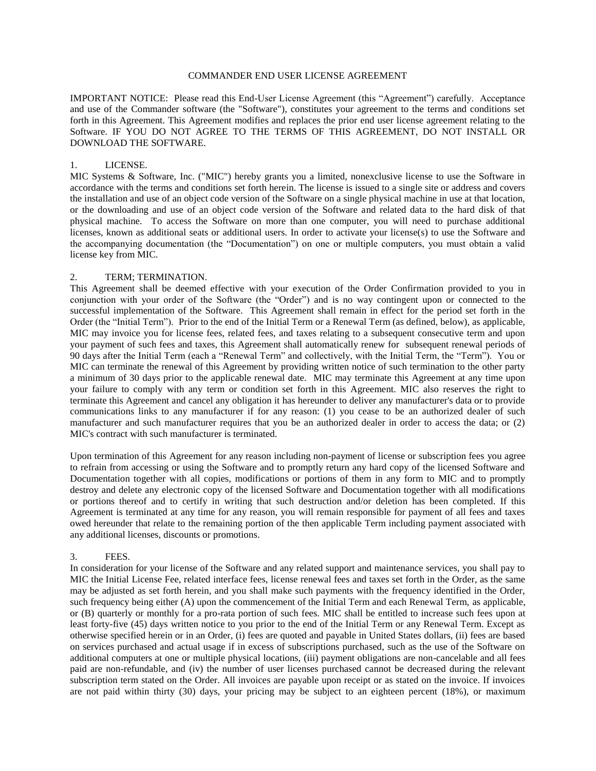#### COMMANDER END USER LICENSE AGREEMENT

IMPORTANT NOTICE: Please read this End-User License Agreement (this "Agreement") carefully. Acceptance and use of the Commander software (the "Software"), constitutes your agreement to the terms and conditions set forth in this Agreement. This Agreement modifies and replaces the prior end user license agreement relating to the Software. IF YOU DO NOT AGREE TO THE TERMS OF THIS AGREEMENT, DO NOT INSTALL OR DOWNLOAD THE SOFTWARE.

#### 1. LICENSE.

MIC Systems & Software, Inc. ("MIC") hereby grants you a limited, nonexclusive license to use the Software in accordance with the terms and conditions set forth herein. The license is issued to a single site or address and covers the installation and use of an object code version of the Software on a single physical machine in use at that location, or the downloading and use of an object code version of the Software and related data to the hard disk of that physical machine. To access the Software on more than one computer, you will need to purchase additional licenses, known as additional seats or additional users. In order to activate your license(s) to use the Software and the accompanying documentation (the "Documentation") on one or multiple computers, you must obtain a valid license key from MIC.

#### 2. TERM; TERMINATION.

This Agreement shall be deemed effective with your execution of the Order Confirmation provided to you in conjunction with your order of the Software (the "Order") and is no way contingent upon or connected to the successful implementation of the Software. This Agreement shall remain in effect for the period set forth in the Order (the "Initial Term"). Prior to the end of the Initial Term or a Renewal Term (as defined, below), as applicable, MIC may invoice you for license fees, related fees, and taxes relating to a subsequent consecutive term and upon your payment of such fees and taxes, this Agreement shall automatically renew for subsequent renewal periods of 90 days after the Initial Term (each a "Renewal Term" and collectively, with the Initial Term, the "Term"). You or MIC can terminate the renewal of this Agreement by providing written notice of such termination to the other party a minimum of 30 days prior to the applicable renewal date. MIC may terminate this Agreement at any time upon your failure to comply with any term or condition set forth in this Agreement. MIC also reserves the right to terminate this Agreement and cancel any obligation it has hereunder to deliver any manufacturer's data or to provide communications links to any manufacturer if for any reason: (1) you cease to be an authorized dealer of such manufacturer and such manufacturer requires that you be an authorized dealer in order to access the data; or (2) MIC's contract with such manufacturer is terminated.

Upon termination of this Agreement for any reason including non-payment of license or subscription fees you agree to refrain from accessing or using the Software and to promptly return any hard copy of the licensed Software and Documentation together with all copies, modifications or portions of them in any form to MIC and to promptly destroy and delete any electronic copy of the licensed Software and Documentation together with all modifications or portions thereof and to certify in writing that such destruction and/or deletion has been completed. If this Agreement is terminated at any time for any reason, you will remain responsible for payment of all fees and taxes owed hereunder that relate to the remaining portion of the then applicable Term including payment associated with any additional licenses, discounts or promotions.

## 3. FEES.

In consideration for your license of the Software and any related support and maintenance services, you shall pay to MIC the Initial License Fee, related interface fees, license renewal fees and taxes set forth in the Order, as the same may be adjusted as set forth herein, and you shall make such payments with the frequency identified in the Order, such frequency being either (A) upon the commencement of the Initial Term and each Renewal Term, as applicable, or (B) quarterly or monthly for a pro-rata portion of such fees. MIC shall be entitled to increase such fees upon at least forty-five (45) days written notice to you prior to the end of the Initial Term or any Renewal Term. Except as otherwise specified herein or in an Order, (i) fees are quoted and payable in United States dollars, (ii) fees are based on services purchased and actual usage if in excess of subscriptions purchased, such as the use of the Software on additional computers at one or multiple physical locations, (iii) payment obligations are non-cancelable and all fees paid are non-refundable, and (iv) the number of user licenses purchased cannot be decreased during the relevant subscription term stated on the Order. All invoices are payable upon receipt or as stated on the invoice. If invoices are not paid within thirty (30) days, your pricing may be subject to an eighteen percent (18%), or maximum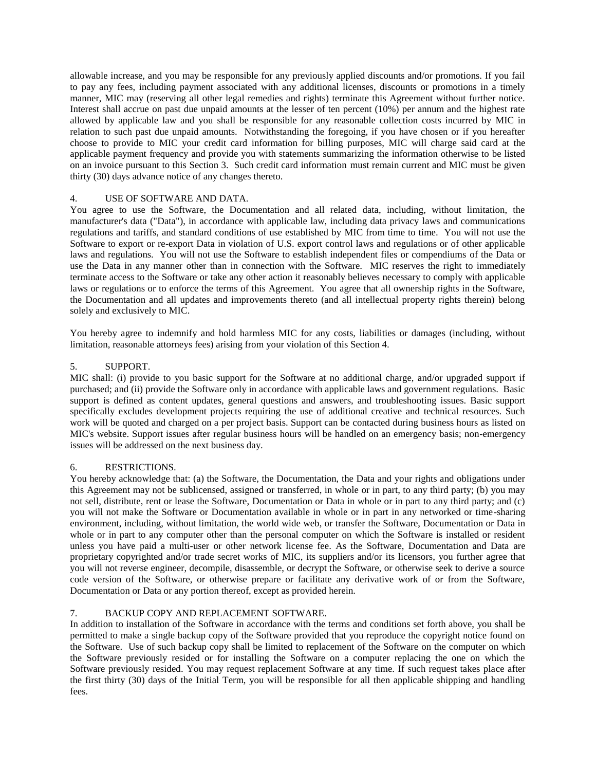allowable increase, and you may be responsible for any previously applied discounts and/or promotions. If you fail to pay any fees, including payment associated with any additional licenses, discounts or promotions in a timely manner, MIC may (reserving all other legal remedies and rights) terminate this Agreement without further notice. Interest shall accrue on past due unpaid amounts at the lesser of ten percent (10%) per annum and the highest rate allowed by applicable law and you shall be responsible for any reasonable collection costs incurred by MIC in relation to such past due unpaid amounts. Notwithstanding the foregoing, if you have chosen or if you hereafter choose to provide to MIC your credit card information for billing purposes, MIC will charge said card at the applicable payment frequency and provide you with statements summarizing the information otherwise to be listed on an invoice pursuant to this Section 3. Such credit card information must remain current and MIC must be given thirty (30) days advance notice of any changes thereto.

## 4. USE OF SOFTWARE AND DATA.

You agree to use the Software, the Documentation and all related data, including, without limitation, the manufacturer's data ("Data"), in accordance with applicable law, including data privacy laws and communications regulations and tariffs, and standard conditions of use established by MIC from time to time. You will not use the Software to export or re-export Data in violation of U.S. export control laws and regulations or of other applicable laws and regulations. You will not use the Software to establish independent files or compendiums of the Data or use the Data in any manner other than in connection with the Software. MIC reserves the right to immediately terminate access to the Software or take any other action it reasonably believes necessary to comply with applicable laws or regulations or to enforce the terms of this Agreement. You agree that all ownership rights in the Software, the Documentation and all updates and improvements thereto (and all intellectual property rights therein) belong solely and exclusively to MIC.

You hereby agree to indemnify and hold harmless MIC for any costs, liabilities or damages (including, without limitation, reasonable attorneys fees) arising from your violation of this Section 4.

#### 5. SUPPORT.

MIC shall: (i) provide to you basic support for the Software at no additional charge, and/or upgraded support if purchased; and (ii) provide the Software only in accordance with applicable laws and government regulations. Basic support is defined as content updates, general questions and answers, and troubleshooting issues. Basic support specifically excludes development projects requiring the use of additional creative and technical resources. Such work will be quoted and charged on a per project basis. Support can be contacted during business hours as listed on MIC's website. Support issues after regular business hours will be handled on an emergency basis; non-emergency issues will be addressed on the next business day.

## 6. RESTRICTIONS.

You hereby acknowledge that: (a) the Software, the Documentation, the Data and your rights and obligations under this Agreement may not be sublicensed, assigned or transferred, in whole or in part, to any third party; (b) you may not sell, distribute, rent or lease the Software, Documentation or Data in whole or in part to any third party; and (c) you will not make the Software or Documentation available in whole or in part in any networked or time-sharing environment, including, without limitation, the world wide web, or transfer the Software, Documentation or Data in whole or in part to any computer other than the personal computer on which the Software is installed or resident unless you have paid a multi-user or other network license fee. As the Software, Documentation and Data are proprietary copyrighted and/or trade secret works of MIC, its suppliers and/or its licensors, you further agree that you will not reverse engineer, decompile, disassemble, or decrypt the Software, or otherwise seek to derive a source code version of the Software, or otherwise prepare or facilitate any derivative work of or from the Software, Documentation or Data or any portion thereof, except as provided herein.

## 7. BACKUP COPY AND REPLACEMENT SOFTWARE.

In addition to installation of the Software in accordance with the terms and conditions set forth above, you shall be permitted to make a single backup copy of the Software provided that you reproduce the copyright notice found on the Software. Use of such backup copy shall be limited to replacement of the Software on the computer on which the Software previously resided or for installing the Software on a computer replacing the one on which the Software previously resided. You may request replacement Software at any time. If such request takes place after the first thirty (30) days of the Initial Term, you will be responsible for all then applicable shipping and handling fees.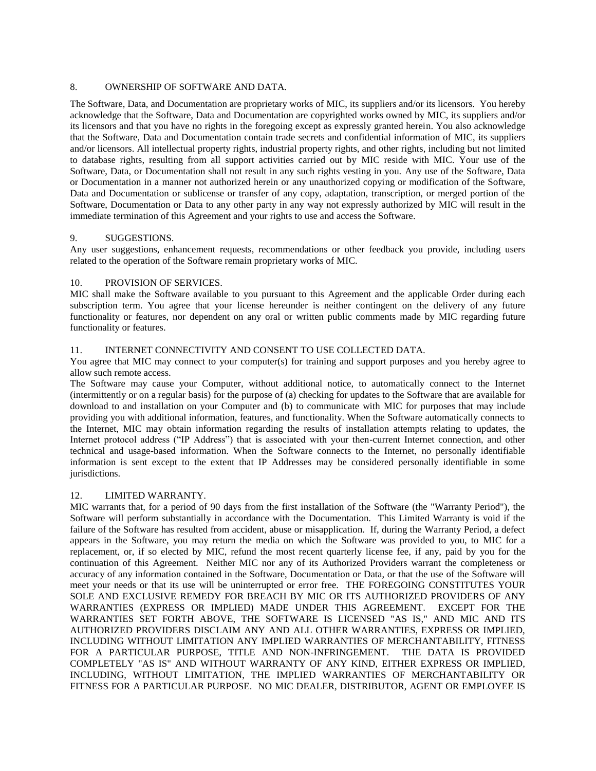#### 8. OWNERSHIP OF SOFTWARE AND DATA.

The Software, Data, and Documentation are proprietary works of MIC, its suppliers and/or its licensors. You hereby acknowledge that the Software, Data and Documentation are copyrighted works owned by MIC, its suppliers and/or its licensors and that you have no rights in the foregoing except as expressly granted herein. You also acknowledge that the Software, Data and Documentation contain trade secrets and confidential information of MIC, its suppliers and/or licensors. All intellectual property rights, industrial property rights, and other rights, including but not limited to database rights, resulting from all support activities carried out by MIC reside with MIC. Your use of the Software, Data, or Documentation shall not result in any such rights vesting in you. Any use of the Software, Data or Documentation in a manner not authorized herein or any unauthorized copying or modification of the Software, Data and Documentation or sublicense or transfer of any copy, adaptation, transcription, or merged portion of the Software, Documentation or Data to any other party in any way not expressly authorized by MIC will result in the immediate termination of this Agreement and your rights to use and access the Software.

#### 9. SUGGESTIONS.

Any user suggestions, enhancement requests, recommendations or other feedback you provide, including users related to the operation of the Software remain proprietary works of MIC.

#### 10. PROVISION OF SERVICES.

MIC shall make the Software available to you pursuant to this Agreement and the applicable Order during each subscription term. You agree that your license hereunder is neither contingent on the delivery of any future functionality or features, nor dependent on any oral or written public comments made by MIC regarding future functionality or features.

#### 11. INTERNET CONNECTIVITY AND CONSENT TO USE COLLECTED DATA.

You agree that MIC may connect to your computer(s) for training and support purposes and you hereby agree to allow such remote access.

The Software may cause your Computer, without additional notice, to automatically connect to the Internet (intermittently or on a regular basis) for the purpose of (a) checking for updates to the Software that are available for download to and installation on your Computer and (b) to communicate with MIC for purposes that may include providing you with additional information, features, and functionality. When the Software automatically connects to the Internet, MIC may obtain information regarding the results of installation attempts relating to updates, the Internet protocol address ("IP Address") that is associated with your then-current Internet connection, and other technical and usage-based information. When the Software connects to the Internet, no personally identifiable information is sent except to the extent that IP Addresses may be considered personally identifiable in some jurisdictions.

#### 12. LIMITED WARRANTY.

MIC warrants that, for a period of 90 days from the first installation of the Software (the "Warranty Period"), the Software will perform substantially in accordance with the Documentation. This Limited Warranty is void if the failure of the Software has resulted from accident, abuse or misapplication. If, during the Warranty Period, a defect appears in the Software, you may return the media on which the Software was provided to you, to MIC for a replacement, or, if so elected by MIC, refund the most recent quarterly license fee, if any, paid by you for the continuation of this Agreement. Neither MIC nor any of its Authorized Providers warrant the completeness or accuracy of any information contained in the Software, Documentation or Data, or that the use of the Software will meet your needs or that its use will be uninterrupted or error free. THE FOREGOING CONSTITUTES YOUR SOLE AND EXCLUSIVE REMEDY FOR BREACH BY MIC OR ITS AUTHORIZED PROVIDERS OF ANY WARRANTIES (EXPRESS OR IMPLIED) MADE UNDER THIS AGREEMENT. EXCEPT FOR THE WARRANTIES SET FORTH ABOVE, THE SOFTWARE IS LICENSED "AS IS," AND MIC AND ITS AUTHORIZED PROVIDERS DISCLAIM ANY AND ALL OTHER WARRANTIES, EXPRESS OR IMPLIED, INCLUDING WITHOUT LIMITATION ANY IMPLIED WARRANTIES OF MERCHANTABILITY, FITNESS FOR A PARTICULAR PURPOSE, TITLE AND NON-INFRINGEMENT. THE DATA IS PROVIDED COMPLETELY "AS IS" AND WITHOUT WARRANTY OF ANY KIND, EITHER EXPRESS OR IMPLIED, INCLUDING, WITHOUT LIMITATION, THE IMPLIED WARRANTIES OF MERCHANTABILITY OR FITNESS FOR A PARTICULAR PURPOSE. NO MIC DEALER, DISTRIBUTOR, AGENT OR EMPLOYEE IS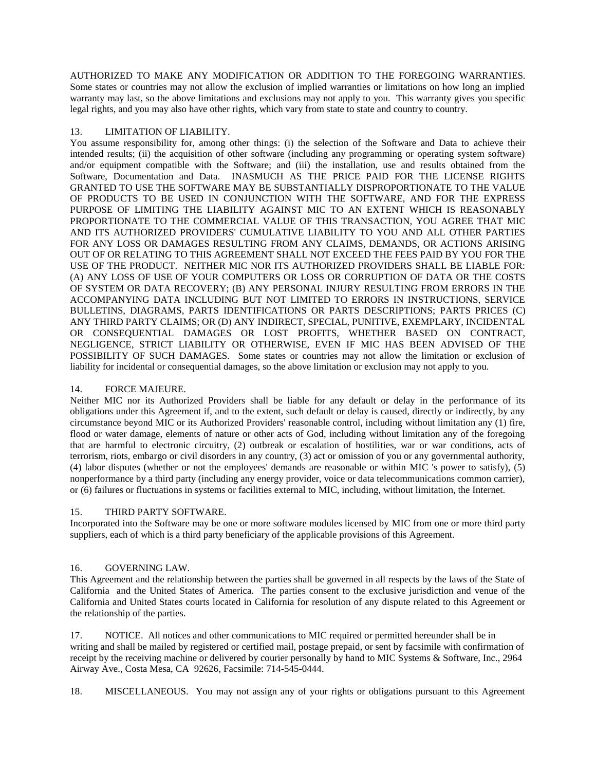AUTHORIZED TO MAKE ANY MODIFICATION OR ADDITION TO THE FOREGOING WARRANTIES. Some states or countries may not allow the exclusion of implied warranties or limitations on how long an implied warranty may last, so the above limitations and exclusions may not apply to you. This warranty gives you specific legal rights, and you may also have other rights, which vary from state to state and country to country.

## 13. LIMITATION OF LIABILITY.

You assume responsibility for, among other things: (i) the selection of the Software and Data to achieve their intended results; (ii) the acquisition of other software (including any programming or operating system software) and/or equipment compatible with the Software; and (iii) the installation, use and results obtained from the Software, Documentation and Data. INASMUCH AS THE PRICE PAID FOR THE LICENSE RIGHTS GRANTED TO USE THE SOFTWARE MAY BE SUBSTANTIALLY DISPROPORTIONATE TO THE VALUE OF PRODUCTS TO BE USED IN CONJUNCTION WITH THE SOFTWARE, AND FOR THE EXPRESS PURPOSE OF LIMITING THE LIABILITY AGAINST MIC TO AN EXTENT WHICH IS REASONABLY PROPORTIONATE TO THE COMMERCIAL VALUE OF THIS TRANSACTION, YOU AGREE THAT MIC AND ITS AUTHORIZED PROVIDERS' CUMULATIVE LIABILITY TO YOU AND ALL OTHER PARTIES FOR ANY LOSS OR DAMAGES RESULTING FROM ANY CLAIMS, DEMANDS, OR ACTIONS ARISING OUT OF OR RELATING TO THIS AGREEMENT SHALL NOT EXCEED THE FEES PAID BY YOU FOR THE USE OF THE PRODUCT. NEITHER MIC NOR ITS AUTHORIZED PROVIDERS SHALL BE LIABLE FOR: (A) ANY LOSS OF USE OF YOUR COMPUTERS OR LOSS OR CORRUPTION OF DATA OR THE COSTS OF SYSTEM OR DATA RECOVERY; (B) ANY PERSONAL INJURY RESULTING FROM ERRORS IN THE ACCOMPANYING DATA INCLUDING BUT NOT LIMITED TO ERRORS IN INSTRUCTIONS, SERVICE BULLETINS, DIAGRAMS, PARTS IDENTIFICATIONS OR PARTS DESCRIPTIONS; PARTS PRICES (C) ANY THIRD PARTY CLAIMS; OR (D) ANY INDIRECT, SPECIAL, PUNITIVE, EXEMPLARY, INCIDENTAL OR CONSEQUENTIAL DAMAGES OR LOST PROFITS, WHETHER BASED ON CONTRACT, NEGLIGENCE, STRICT LIABILITY OR OTHERWISE, EVEN IF MIC HAS BEEN ADVISED OF THE POSSIBILITY OF SUCH DAMAGES. Some states or countries may not allow the limitation or exclusion of liability for incidental or consequential damages, so the above limitation or exclusion may not apply to you.

## 14. FORCE MAJEURE.

Neither MIC nor its Authorized Providers shall be liable for any default or delay in the performance of its obligations under this Agreement if, and to the extent, such default or delay is caused, directly or indirectly, by any circumstance beyond MIC or its Authorized Providers' reasonable control, including without limitation any (1) fire, flood or water damage, elements of nature or other acts of God, including without limitation any of the foregoing that are harmful to electronic circuitry, (2) outbreak or escalation of hostilities, war or war conditions, acts of terrorism, riots, embargo or civil disorders in any country, (3) act or omission of you or any governmental authority, (4) labor disputes (whether or not the employees' demands are reasonable or within MIC 's power to satisfy), (5) nonperformance by a third party (including any energy provider, voice or data telecommunications common carrier), or (6) failures or fluctuations in systems or facilities external to MIC, including, without limitation, the Internet.

## 15. THIRD PARTY SOFTWARE.

Incorporated into the Software may be one or more software modules licensed by MIC from one or more third party suppliers, each of which is a third party beneficiary of the applicable provisions of this Agreement.

# 16. GOVERNING LAW.

This Agreement and the relationship between the parties shall be governed in all respects by the laws of the State of California and the United States of America. The parties consent to the exclusive jurisdiction and venue of the California and United States courts located in California for resolution of any dispute related to this Agreement or the relationship of the parties.

17. NOTICE. All notices and other communications to MIC required or permitted hereunder shall be in writing and shall be mailed by registered or certified mail, postage prepaid, or sent by facsimile with confirmation of receipt by the receiving machine or delivered by courier personally by hand to MIC Systems & Software, Inc., 2964 Airway Ave., Costa Mesa, CA 92626, Facsimile: 714-545-0444.

18. MISCELLANEOUS. You may not assign any of your rights or obligations pursuant to this Agreement